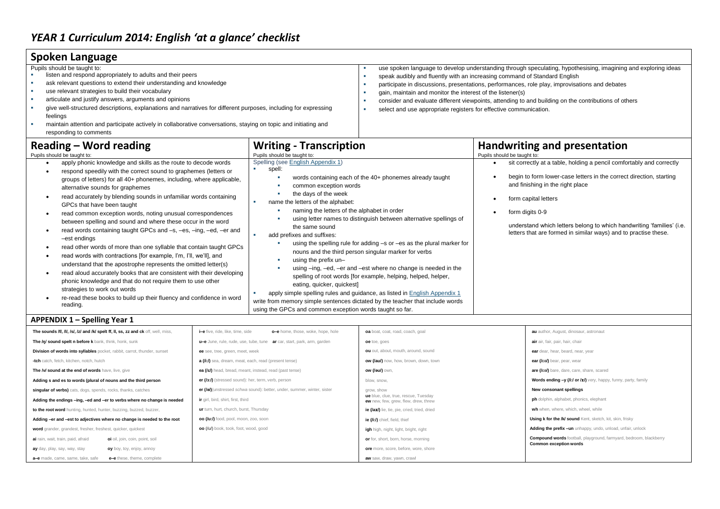## **Spoken Language**

| Spoken Language                                                                                                                                                                                                                                                                                                                                                                                                                                                                                                                                                                                                                                                                                                                                                                                                                                                                                                                                                                                                                            |                                                                                                                                                                                                                                                                                                                                                                                                                                                                                                                                                                                                                                                                                                                                                                                  |                                                                                                                                                                                                                                                                                                                                                                                                                                                                                                                                          |  |
|--------------------------------------------------------------------------------------------------------------------------------------------------------------------------------------------------------------------------------------------------------------------------------------------------------------------------------------------------------------------------------------------------------------------------------------------------------------------------------------------------------------------------------------------------------------------------------------------------------------------------------------------------------------------------------------------------------------------------------------------------------------------------------------------------------------------------------------------------------------------------------------------------------------------------------------------------------------------------------------------------------------------------------------------|----------------------------------------------------------------------------------------------------------------------------------------------------------------------------------------------------------------------------------------------------------------------------------------------------------------------------------------------------------------------------------------------------------------------------------------------------------------------------------------------------------------------------------------------------------------------------------------------------------------------------------------------------------------------------------------------------------------------------------------------------------------------------------|------------------------------------------------------------------------------------------------------------------------------------------------------------------------------------------------------------------------------------------------------------------------------------------------------------------------------------------------------------------------------------------------------------------------------------------------------------------------------------------------------------------------------------------|--|
| Pupils should be taught to:<br>listen and respond appropriately to adults and their peers<br>ask relevant questions to extend their understanding and knowledge<br>use relevant strategies to build their vocabulary<br>- 11<br>articulate and justify answers, arguments and opinions<br>- 11<br>give well-structured descriptions, explanations and narratives for different purposes, including for expressing<br>feelings<br>maintain attention and participate actively in collaborative conversations, staying on topic and initiating and<br>responding to comments                                                                                                                                                                                                                                                                                                                                                                                                                                                                 | ٠                                                                                                                                                                                                                                                                                                                                                                                                                                                                                                                                                                                                                                                                                                                                                                                | use spoken language to develop understanding through speculating, hypothesising, imagining and exploring ideas<br>speak audibly and fluently with an increasing command of Standard English<br>participate in discussions, presentations, performances, role play, improvisations and debates<br>gain, maintain and monitor the interest of the listener(s)<br>consider and evaluate different viewpoints, attending to and building on the contributions of others<br>select and use appropriate registers for effective communication. |  |
| <b>Reading - Word reading</b><br>Pupils should be taught to:                                                                                                                                                                                                                                                                                                                                                                                                                                                                                                                                                                                                                                                                                                                                                                                                                                                                                                                                                                               | <b>Writing - Transcription</b><br>Pupils should be taught to:                                                                                                                                                                                                                                                                                                                                                                                                                                                                                                                                                                                                                                                                                                                    | <b>Handwriting and presentation</b><br>Pupils should be taught to:                                                                                                                                                                                                                                                                                                                                                                                                                                                                       |  |
| apply phonic knowledge and skills as the route to decode words<br>respond speedily with the correct sound to graphemes (letters or<br>groups of letters) for all 40+ phonemes, including, where applicable,<br>alternative sounds for graphemes<br>read accurately by blending sounds in unfamiliar words containing<br>$\bullet$<br>GPCs that have been taught<br>read common exception words, noting unusual correspondences<br>$\bullet$<br>between spelling and sound and where these occur in the word<br>read words containing taught GPCs and -s, -es, -ing, -ed, -er and<br>$\bullet$<br>-est endings<br>read other words of more than one syllable that contain taught GPCs<br>$\bullet$<br>read words with contractions [for example, I'm, I'll, we'll], and<br>$\bullet$<br>understand that the apostrophe represents the omitted letter(s)<br>read aloud accurately books that are consistent with their developing<br>$\bullet$<br>phonic knowledge and that do not require them to use other<br>strategies to work out words | Spelling (see English Appendix 1)<br>spell:<br>words containing each of the 40+ phonemes already taught<br>common exception words<br>the days of the week<br>name the letters of the alphabet:<br>п.<br>naming the letters of the alphabet in order<br>using letter names to distinguish between alternative spellings of<br>the same sound<br>add prefixes and suffixes:<br>using the spelling rule for adding -s or -es as the plural marker for<br>nouns and the third person singular marker for verbs<br>using the prefix un-<br>using -ing, -ed, -er and -est where no change is needed in the<br>spelling of root words [for example, helping, helped, helper,<br>eating, quicker, quickest]<br>apply simple spelling rules and guidance, as listed in English Appendix 1 | sit correctly at a table, holding a pencil comfortably and correctly<br>begin to form lower-case letters in the correct direction, starting<br>and finishing in the right place<br>form capital letters<br>٠<br>form digits 0-9<br>٠<br>understand which letters belong to which handwriting 'families' (i.e.<br>letters that are formed in similar ways) and to practise these.                                                                                                                                                         |  |

## reading. **APPENDIX 1 – Spelling Year 1**

re-read these books to build up their fluency and confidence in word

| The sounds /f/, /l/, /s/, /z/ and /k/ spelt ff, II, ss, zz and ck off, well, miss,                | <b>i-e</b> five, ride, like, time, side<br>o-e home, those, woke, hope, hole | oa boat, coat, road, coach, goal                                             | au author, August, dinosaur, astronaut                                    |
|---------------------------------------------------------------------------------------------------|------------------------------------------------------------------------------|------------------------------------------------------------------------------|---------------------------------------------------------------------------|
| The /n/ sound spelt n before k bank, think, honk, sunk                                            | u-e June, rule, rude, use, tube, tune ar car, start, park, arm, garden       | oe toe, goes                                                                 | air air, fair, pair, hair, chair                                          |
| Division of words into syllables pocket, rabbit, carrot, thunder, sunset                          | ee see, tree, green, meet, week                                              | ou out, about, mouth, around, sound                                          | ear dear, hear, beard, near, year                                         |
| -tch catch, fetch, kitchen, notch, hutch<br>a (/i:/) sea, dream, meat, each, read (present tense) |                                                                              | ow (/aʊ/) now, how, brown, down, town                                        | ear (/ɛə/) bear, pear, wear                                               |
| The /v/ sound at the end of words have, live, give                                                | ea (/ɛ/) head, bread, meant, instead, read (past tense)                      | ow (/əʊ/) own.                                                               | are (/ɛə/) bare, dare, care, share, scared                                |
| Adding s and es to words (plural of nouns and the third person                                    | er (/3:/) (stressed sound): her, term, verb, person                          | blow, snow,                                                                  | <b>Words ending -y (/i:/ or /x/)</b> very, happy, funny, party, family    |
| singular of verbs) cats, dogs, spends, rocks, thanks, catches                                     | er (/ə/) (unstressed schwa sound): better, under, summer, winter, sister     | grow, show                                                                   | New consonant spellings                                                   |
| Adding the endings -ing, -ed and -er to verbs where no change is needed                           | ir girl, bird, shirt, first, third                                           | ue blue, clue, true, rescue, Tuesday<br>ew new, few, grew, flew, drew, threw | ph dolphin, alphabet, phonics, elephant                                   |
| to the root word hunting, hunted, hunter, buzzing, buzzed, buzzer,                                | ur turn, hurt, church, burst, Thursday                                       | ie (/ax/) lie, tie, pie, cried, tried, dried                                 | wh when, where, which, wheel, while                                       |
| Adding -er and -est to adjectives where no change is needed to the root                           | oo (/u:/) food, pool, moon, zoo, soon                                        | ie (/i:/) chief, field, thief                                                | <b>Using k for the /k/ sound</b> Kent, sketch, kit, skin, frisky          |
| word grander, grandest, fresher, freshest, quicker, quickest                                      | $\infty$ (/ $\omega$ ) book, took, foot, wood, good                          | igh high, night, light, bright, right                                        | Adding the prefix -un unhappy, undo, unload, unfair, unlock               |
| ai rain, wait, train, paid, afraid<br>oi oil, join, coin, point, soil                             |                                                                              | or for, short, born, horse, morning                                          | <b>Compound words</b> football, playground, farmyard, bedroom, blackberry |
| oy boy, toy, enjoy, annoy<br>ay day, play, say, way, stay                                         |                                                                              | ore more, score, before, wore, shore                                         | <b>Common exception words</b>                                             |
| a-e made, came, same, take, safe<br>e-e these, theme, complete                                    |                                                                              | aw saw, draw, yawn, crawl                                                    |                                                                           |

write from memory simple sentences dictated by the teacher that include words

using the GPCs and common exception words taught so far.